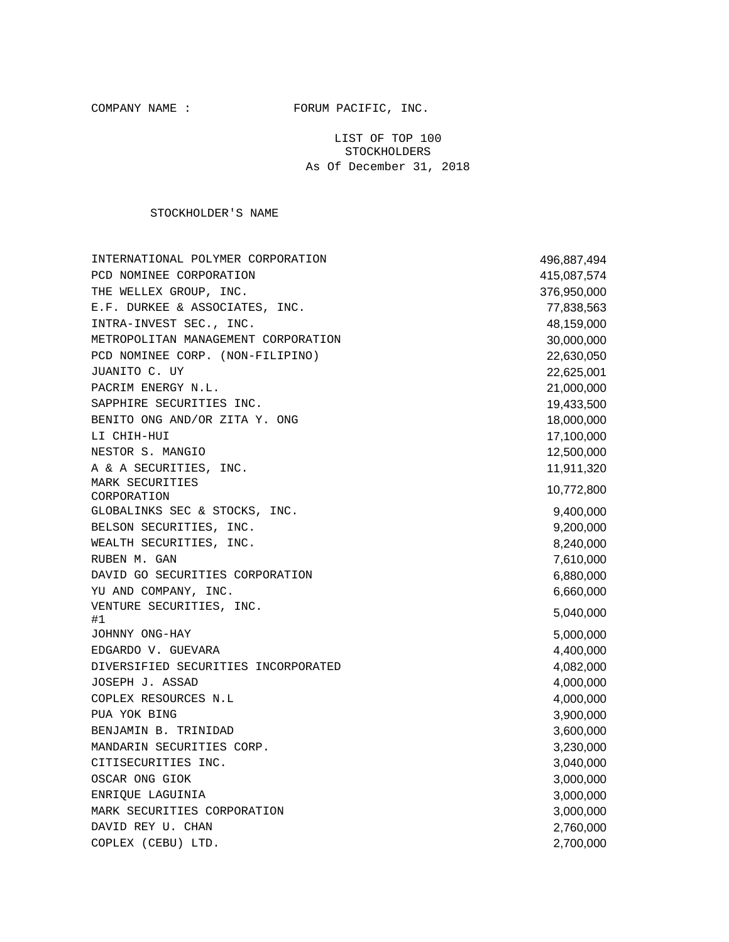COMPANY NAME : FORUM PACIFIC, INC.

LIST OF TOP 100 STOCKHOLDERS As Of December 31, 2018

STOCKHOLDER'S NAME

| INTERNATIONAL POLYMER CORPORATION   | 496,887,494 |
|-------------------------------------|-------------|
| PCD NOMINEE CORPORATION             | 415,087,574 |
| THE WELLEX GROUP, INC.              | 376,950,000 |
| E.F. DURKEE & ASSOCIATES, INC.      | 77,838,563  |
| INTRA-INVEST SEC., INC.             | 48,159,000  |
| METROPOLITAN MANAGEMENT CORPORATION | 30,000,000  |
| PCD NOMINEE CORP. (NON-FILIPINO)    | 22,630,050  |
| JUANITO C. UY                       | 22,625,001  |
| PACRIM ENERGY N.L.                  | 21,000,000  |
| SAPPHIRE SECURITIES INC.            | 19,433,500  |
| BENITO ONG AND/OR ZITA Y. ONG       | 18,000,000  |
| LI CHIH-HUI                         | 17,100,000  |
| NESTOR S. MANGIO                    | 12,500,000  |
| A & A SECURITIES, INC.              | 11,911,320  |
| MARK SECURITIES<br>CORPORATION      | 10,772,800  |
| GLOBALINKS SEC & STOCKS, INC.       | 9,400,000   |
| BELSON SECURITIES, INC.             | 9,200,000   |
| WEALTH SECURITIES, INC.             | 8,240,000   |
| RUBEN M. GAN                        | 7,610,000   |
| DAVID GO SECURITIES CORPORATION     | 6,880,000   |
| YU AND COMPANY, INC.                | 6,660,000   |
| VENTURE SECURITIES, INC.            | 5,040,000   |
| #1                                  |             |
| JOHNNY ONG-HAY                      | 5,000,000   |
| EDGARDO V. GUEVARA                  | 4,400,000   |
| DIVERSIFIED SECURITIES INCORPORATED | 4,082,000   |
| JOSEPH J. ASSAD                     | 4,000,000   |
| COPLEX RESOURCES N.L                | 4,000,000   |
| PUA YOK BING                        | 3,900,000   |
| BENJAMIN B. TRINIDAD                | 3,600,000   |
| MANDARIN SECURITIES CORP.           | 3,230,000   |
| CITISECURITIES INC.                 | 3,040,000   |
| OSCAR ONG GIOK                      | 3,000,000   |
| ENRIQUE LAGUINIA                    | 3,000,000   |
| MARK SECURITIES CORPORATION         | 3,000,000   |
| DAVID REY U. CHAN                   | 2,760,000   |
| COPLEX (CEBU) LTD.                  | 2,700,000   |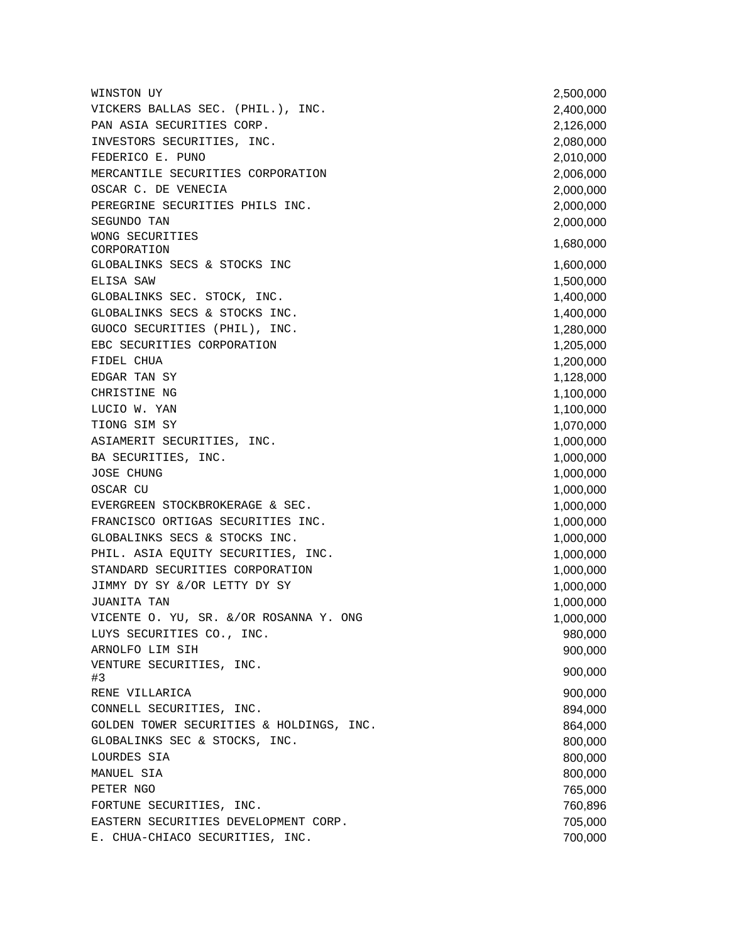WINSTON UY 2,500,000 VICKERS BALLAS SEC. (PHIL.), INC. 2,400,000 PAN ASIA SECURITIES CORP. 2,126,000 INVESTORS SECURITIES, INC. 2,080,000 FEDERICO E. PUNO 2,010,000 PEDERICO E. PUNO MERCANTILE SECURITIES CORPORATION 2,006,000 OSCAR C. DE VENECIA 2,000,000 PEREGRINE SECURITIES PHILS INC. 2,000,000 SEGUNDO TAN 2,000,000 WONG SECURITIES<br>CORPORATION NONG BECONTITIES<br>CORPORATION 1,680,000 GLOBALINKS SECS & STOCKS INC 6. 1,600,000 CLOBALINKS SECS & STOCKS INC ELISA SAW 1,500,000 GLOBALINKS SEC. STOCK, INC. 1,400,000 GLOBALINKS SECS & STOCKS INC. (1,400,000) GUOCO SECURITIES (PHIL), INC. 1,280,000 EBC SECURITIES CORPORATION 1,205,000 FIDEL CHUA 1,200,000 EDGAR TAN SY 1,128,000 CHRISTINE NG 2000 1,100,000 LUCIO W. YAN 1,100,000 TIONG SIM SY 1,070,000 ASIAMERIT SECURITIES, INC. 1,000,000 and 1,000,000 BA SECURITIES, INC. 1,000,000 and 1,000,000 and 1,000,000 and 1,000,000 and 1,000,000 and 1,000,000 and 1,000,000 and 1,000,000 and 1,000,000 and 1,000,000 and 1,000,000 and 1,000,000 and 1,000,000 and 1,000,000 and 1,000, JOSE CHUNG 1,000,000 OSCAR CU and the contract of the contract of the contract of the contract of the contract of the contract of the contract of the contract of the contract of the contract of the contract of the contract of the contract of t EVERGREEN STOCKBROKERAGE & SEC. 1,000,000 and 1,000,000 FRANCISCO ORTIGAS SECURITIES INC.  $1,000,000$ GLOBALINKS SECS & STOCKS INC. (1,000,000) PHIL. ASIA EQUITY SECURITIES, INC.  $1,000,000$ STANDARD SECURITIES CORPORATION  $1,000,000$ JIMMY DY SY &/OR LETTY DY SY 1,000,000 JUANITA TAN 1,000,000 VICENTE O. YU, SR. &/OR ROSANNA Y. ONG 1,000,000 LUYS SECURITIES CO., INC. 980,000 ARNOLFO LIM SIH 900,000 VENTURE SECURITIES, INC.<br>#3 which because, the: 3 900,000 \$43 RENE VILLARICA 900,000 CONNELL SECURITIES, INC. 894,000 GOLDEN TOWER SECURITIES & HOLDINGS, INC.  $864,000$ GLOBALINKS SEC & STOCKS, INC.  $800,000$ LOURDES SIA 800,000 MANUEL SIA 800,000 PETER NGO 2000 AND 2000 AND 2000 AND 2000 AND 2000 AND 2000 AND 2000 AND 2000 AND 2000 AND 2000 AND 2000 AND 2000 FORTUNE SECURITIES, INC. THE SECURITIES OF A SECURITIES OF A SECURITIES OF A SECURITIES OF A SECURITIES OF A SECURITIES OF A SECURITIES OF A SECURITIES OF A SECURITIES OF A SECURITIES OF A SECURITIES OF A SECURITIES OF A S EASTERN SECURITIES DEVELOPMENT CORP. 705,000 E. CHUA-CHIACO SECURITIES, INC. THE SECOND SECURITIES ON A SECOND SECOND SECOND SECOND SECOND SECOND SECOND SECOND SECOND SECOND SECOND SECOND SECOND SECOND SECOND SECOND SECOND SECOND SECOND SECOND SECOND SECOND SECOND SE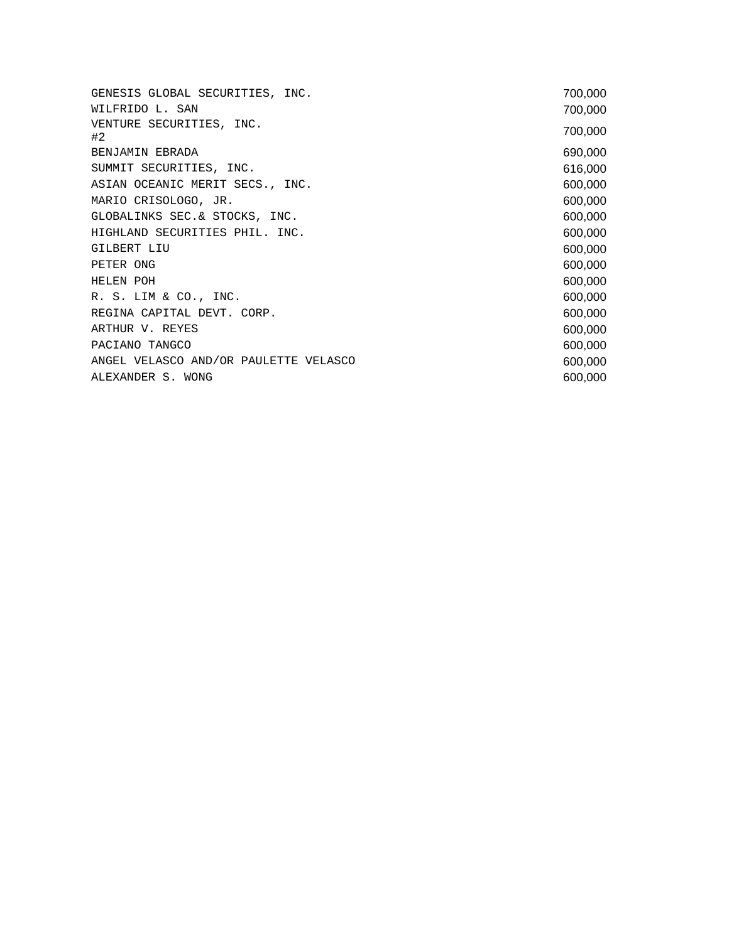GENESIS GLOBAL SECURITIES, INC. 700,000 WILFRIDO L. SAN 700,000 VENTURE SECURITIES, INC. #2 700,000 BENJAMIN EBRADA 690,000 SUMMIT SECURITIES, INC. 616,000 ASIAN OCEANIC MERIT SECS., INC. 600,000 MARIO CRISOLOGO, JR. 600,000 GLOBALINKS SEC.& STOCKS, INC. 600,000 HIGHLAND SECURITIES PHIL. INC. 600,000 GILBERT LIU 600,000 PETER ONG 600,000 HELEN POH 600,000 R. S. LIM & CO., INC. 600,000 REGINA CAPITAL DEVT. CORP. 600,000 ARTHUR V. REYES 600,000 PACIANO TANGCO 600,000 PACIANO TANGCO ANGEL VELASCO AND/OR PAULETTE VELASCO 600,000 ALEXANDER S. WONG **600,000**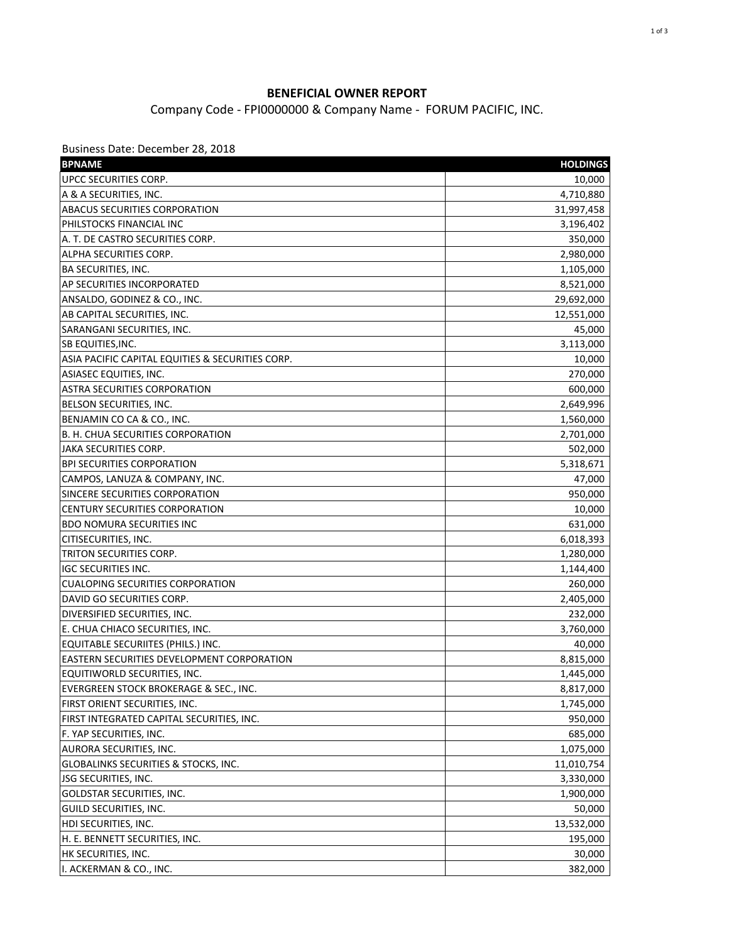## **BENEFICIAL OWNER REPORT**

Company Code - FPI0000000 & Company Name - FORUM PACIFIC, INC.

Business Date: December 28, 2018

| <b>BPNAME</b>                                     | <b>HOLDINGS</b> |
|---------------------------------------------------|-----------------|
| UPCC SECURITIES CORP.                             | 10,000          |
| A & A SECURITIES, INC.                            | 4,710,880       |
| ABACUS SECURITIES CORPORATION                     | 31,997,458      |
| PHILSTOCKS FINANCIAL INC                          | 3,196,402       |
| A. T. DE CASTRO SECURITIES CORP.                  | 350,000         |
| ALPHA SECURITIES CORP.                            | 2,980,000       |
| <b>BA SECURITIES, INC.</b>                        | 1,105,000       |
| AP SECURITIES INCORPORATED                        | 8,521,000       |
| ANSALDO, GODINEZ & CO., INC.                      | 29,692,000      |
| AB CAPITAL SECURITIES, INC.                       | 12,551,000      |
| SARANGANI SECURITIES, INC.                        | 45,000          |
| SB EQUITIES, INC.                                 | 3,113,000       |
| ASIA PACIFIC CAPITAL EQUITIES & SECURITIES CORP.  | 10,000          |
| ASIASEC EQUITIES, INC.                            | 270,000         |
| <b>ASTRA SECURITIES CORPORATION</b>               | 600,000         |
| <b>BELSON SECURITIES, INC.</b>                    | 2,649,996       |
| BENJAMIN CO CA & CO., INC.                        | 1,560,000       |
| <b>B. H. CHUA SECURITIES CORPORATION</b>          | 2,701,000       |
| <b>JAKA SECURITIES CORP.</b>                      | 502,000         |
| <b>BPI SECURITIES CORPORATION</b>                 | 5,318,671       |
| CAMPOS, LANUZA & COMPANY, INC.                    | 47,000          |
| SINCERE SECURITIES CORPORATION                    | 950,000         |
| <b>CENTURY SECURITIES CORPORATION</b>             | 10,000          |
| <b>BDO NOMURA SECURITIES INC</b>                  | 631,000         |
| CITISECURITIES, INC.                              | 6,018,393       |
| TRITON SECURITIES CORP.                           | 1,280,000       |
| <b>IGC SECURITIES INC.</b>                        | 1,144,400       |
| <b>CUALOPING SECURITIES CORPORATION</b>           | 260,000         |
| DAVID GO SECURITIES CORP.                         | 2,405,000       |
| DIVERSIFIED SECURITIES, INC.                      | 232,000         |
| E. CHUA CHIACO SECURITIES, INC.                   | 3,760,000       |
| EQUITABLE SECURIITES (PHILS.) INC.                | 40,000          |
| <b>EASTERN SECURITIES DEVELOPMENT CORPORATION</b> | 8,815,000       |
| EQUITIWORLD SECURITIES, INC.                      | 1,445,000       |
| EVERGREEN STOCK BROKERAGE & SEC., INC.            | 8,817,000       |
| FIRST ORIENT SECURITIES, INC.                     | 1,745,000       |
| FIRST INTEGRATED CAPITAL SECURITIES, INC.         | 950,000         |
| F. YAP SECURITIES, INC.                           | 685,000         |
| AURORA SECURITIES, INC.                           | 1,075,000       |
| <b>GLOBALINKS SECURITIES &amp; STOCKS, INC.</b>   | 11,010,754      |
| JSG SECURITIES, INC.                              | 3,330,000       |
| GOLDSTAR SECURITIES, INC.                         | 1,900,000       |
| GUILD SECURITIES, INC.                            | 50,000          |
| HDI SECURITIES, INC.                              | 13,532,000      |
| H. E. BENNETT SECURITIES, INC.                    | 195,000         |
| HK SECURITIES, INC.                               | 30,000          |
| I. ACKERMAN & CO., INC.                           | 382,000         |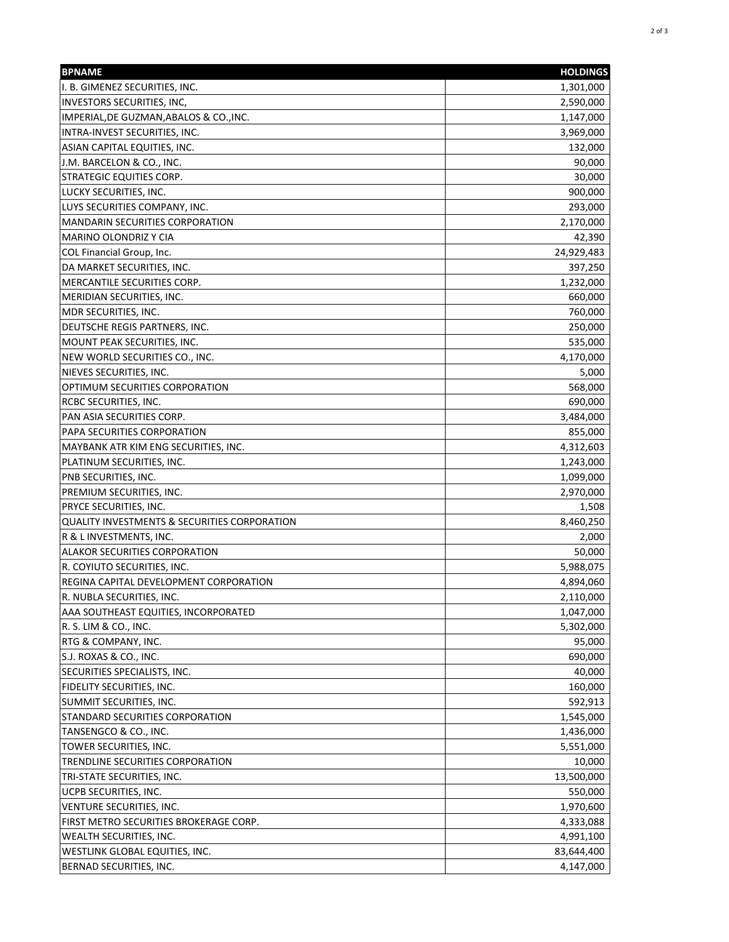| <b>BPNAME</b>                                | <b>HOLDINGS</b> |
|----------------------------------------------|-----------------|
| I. B. GIMENEZ SECURITIES, INC.               | 1,301,000       |
| <b>INVESTORS SECURITIES, INC,</b>            | 2,590,000       |
| IMPERIAL, DE GUZMAN, ABALOS & CO., INC.      | 1,147,000       |
| INTRA-INVEST SECURITIES, INC.                | 3,969,000       |
| ASIAN CAPITAL EQUITIES, INC.                 | 132,000         |
| J.M. BARCELON & CO., INC.                    | 90,000          |
| STRATEGIC EQUITIES CORP.                     | 30,000          |
| LUCKY SECURITIES, INC.                       | 900,000         |
| LUYS SECURITIES COMPANY, INC.                | 293,000         |
| <b>MANDARIN SECURITIES CORPORATION</b>       | 2,170,000       |
| MARINO OLONDRIZ Y CIA                        | 42,390          |
| COL Financial Group, Inc.                    | 24,929,483      |
| DA MARKET SECURITIES, INC.                   | 397,250         |
| MERCANTILE SECURITIES CORP.                  | 1,232,000       |
| MERIDIAN SECURITIES, INC.                    | 660,000         |
| <b>MDR SECURITIES, INC.</b>                  | 760,000         |
| DEUTSCHE REGIS PARTNERS, INC.                | 250,000         |
| MOUNT PEAK SECURITIES, INC.                  | 535,000         |
| NEW WORLD SECURITIES CO., INC.               | 4,170,000       |
| NIEVES SECURITIES, INC.                      | 5,000           |
| OPTIMUM SECURITIES CORPORATION               | 568,000         |
| <b>RCBC SECURITIES, INC.</b>                 | 690,000         |
| PAN ASIA SECURITIES CORP.                    | 3,484,000       |
| PAPA SECURITIES CORPORATION                  | 855,000         |
| MAYBANK ATR KIM ENG SECURITIES, INC.         | 4,312,603       |
| PLATINUM SECURITIES, INC.                    | 1,243,000       |
| PNB SECURITIES, INC.                         | 1,099,000       |
| PREMIUM SECURITIES, INC.                     | 2,970,000       |
| <b>PRYCE SECURITIES, INC.</b>                | 1,508           |
| QUALITY INVESTMENTS & SECURITIES CORPORATION | 8,460,250       |
| R & L INVESTMENTS, INC.                      | 2,000           |
| <b>ALAKOR SECURITIES CORPORATION</b>         | 50,000          |
| R. COYIUTO SECURITIES, INC.                  | 5,988,075       |
| REGINA CAPITAL DEVELOPMENT CORPORATION       | 4,894,060       |
| R. NUBLA SECURITIES, INC.                    | 2,110,000       |
| AAA SOUTHEAST EQUITIES, INCORPORATED         | 1,047,000       |
| R. S. LIM & CO., INC.                        | 5,302,000       |
| RTG & COMPANY, INC.                          | 95,000          |
| S.J. ROXAS & CO., INC.                       | 690,000         |
| SECURITIES SPECIALISTS, INC.                 | 40,000          |
| <b>FIDELITY SECURITIES, INC.</b>             | 160,000         |
| SUMMIT SECURITIES, INC.                      | 592,913         |
| STANDARD SECURITIES CORPORATION              | 1,545,000       |
| TANSENGCO & CO., INC.                        | 1,436,000       |
| TOWER SECURITIES, INC.                       | 5,551,000       |
| TRENDLINE SECURITIES CORPORATION             | 10,000          |
| TRI-STATE SECURITIES, INC.                   | 13,500,000      |
| UCPB SECURITIES, INC.                        | 550,000         |
| VENTURE SECURITIES, INC.                     | 1,970,600       |
| FIRST METRO SECURITIES BROKERAGE CORP.       | 4,333,088       |
| <b>WEALTH SECURITIES, INC.</b>               | 4,991,100       |
| WESTLINK GLOBAL EQUITIES, INC.               | 83,644,400      |
| BERNAD SECURITIES, INC.                      | 4,147,000       |
|                                              |                 |